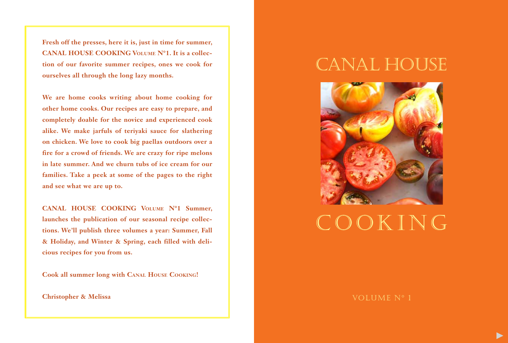**Fresh off the presses, here it is, just in time for summer, CANAL HOUSE COOKING Volume N°1. It is a collection of our favorite summer recipes, ones we cook for ourselves all through the long lazy months.** 

**We are home cooks writing about home cooking for other home cooks. Our recipes are easy to prepare, and completely doable for the novice and experienced cook alike. We make jarfuls of teriyaki sauce for slathering on chicken. We love to cook big paellas outdoors over a fire for a crowd of friends. We are crazy for ripe melons in late summer. And we churn tubs of ice cream for our families. Take a peek at some of the pages to the right and see what we are up to.**

**CANAL HOUSE COOKING Volume N°1 Summer, launches the publication of our seasonal recipe collections. We'll publish three volumes a year: Summer, Fall & Holiday, and Winter & Spring, each filled with delicious recipes for you from us.**

**Cook all summer long with Canal House Cooking!**

**Christopher & Melissa** 

### canal house



# c o o k i n g

### volume n° 1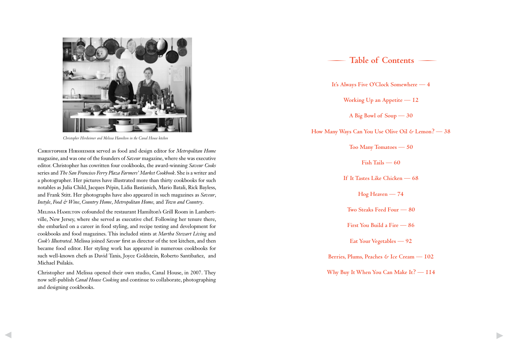

*Christopher Hirsheimer and Melissa Hamilton in the Canal House kitchen*

Christopher Hirsheimer served as food and design editor for *Metropolitan Home* magazine, and was one of the founders of *Saveur* magazine, where she was executive editor. Christopher has cowritten four cookbooks, the award-winning *Saveur Cooks* series and *The San Francisco Ferry Plaza Farmers' Market Cookbook*. She is a writer and a photographer. Her pictures have illustrated more than thirty cookbooks for such notables as Julia Child, Jacques Pépin, Lidia Bastianich, Mario Batali, Rick Bayless, and Frank Stitt. Her photographs have also appeared in such magazines as *Saveur*, *Instyle*, *Food & Wine*, *Country Home*, *Metropolitan Home,* and *Town and Country*.

Melissa Hamilton cofounded the restaurant Hamilton's Grill Room in Lambertville, New Jersey, where she served as executive chef. Following her tenure there, she embarked on a career in food styling, and recipe testing and development for cookbooks and food magazines. This included stints at *Martha Stewart Living* and *Cook's Illustrated*. Melissa joined *Saveur* first as director of the test kitchen, and then became food editor. Her styling work has appeared in numerous cookbooks for such well-known chefs as David Tanis, Joyce Goldstein, Roberto Santibañez, and Michael Psilakis.

Christopher and Melissa opened their own studio, Canal House, in 2007. They now self-publish *Canal House Cooking* and continue to collaborate, photographing and designing cookbooks.

### Table of Contents -

**It's Always Five O'Clock Somewhere — 4**

**Working Up an Appetite — 12**

**A Big Bowl of Soup — 30**

**How Many Ways Can You Use Olive Oil** *&* **Lemon**? **— 38**

**Too Many Tomatoes — 50**

**Fish Tails — 60**

**If It Tastes Like Chicken — 68**

**Hog Heaven — 74**

**Two Steaks Feed Four — 80**

**First You Build a Fire — 86**

**Eat Your Vegetables — 92**

**Berries, Plums, Peaches** *&* **Ice Cream — 102**

**Why Buy It When You Can Make It**? **— 114**

 $\blacktriangleright$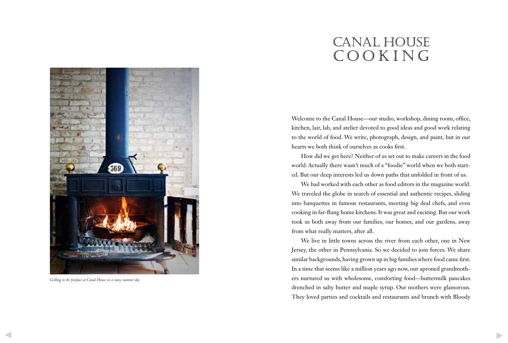### CANAL HOUSE C o o k i n g

Welcome to the Canal House—our studio, workshop, dining room, office, kitchen, lair, lab, and atelier devoted to good ideas and good work relating to the world of food. We write, photograph, design, and paint, but in our hearts we both think of ourselves as cooks first.

How did we get here? Neither of us set out to make careers in the food world. Actually there wasn't much of a "foodie" world when we both started. But our deep interests led us down paths that unfolded in front of us.

We had worked with each other as food editors in the magazine world. We traveled the globe in search of essential and authentic recipes, sliding into banquettes in famous restaurants, meeting big deal chefs, and even cooking in far-flung home kitchens. It was great and exciting. But our work took us both away from our families, our homes, and our gardens, away from what really matters, after all.

We live in little towns across the river from each other, one in New Jersey, the other in Pennsylvania. So we decided to join forces. We share similar backgrounds, having grown up in big families where food came first. In a time that seems like a million years ago now, our aproned grandmothers nurtured us with wholesome, comforting food—buttermilk pancakes drenched in salty butter and maple syrup. Our mothers were glamorous. They loved parties and cocktails and restaurants and brunch with Bloody



*Grilling in the fireplace at Canal House on a rainy summer day*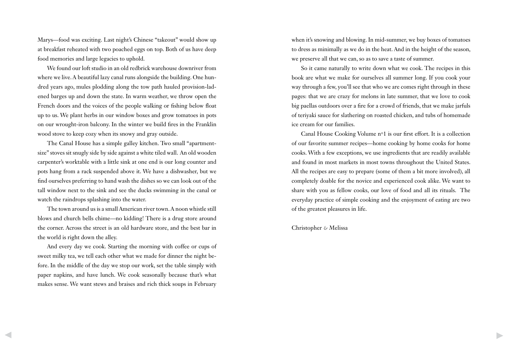Marys—food was exciting. Last night's Chinese "takeout" would show up at breakfast reheated with two poached eggs on top. Both of us have deep food memories and large legacies to uphold.

We found our loft studio in an old redbrick warehouse downriver from where we live. A beautiful lazy canal runs alongside the building. One hundred years ago, mules plodding along the tow path hauled provision-ladened barges up and down the state. In warm weather, we throw open the French doors and the voices of the people walking or fishing below float up to us. We plant herbs in our window boxes and grow tomatoes in pots on our wrought-iron balcony. In the winter we build fires in the Franklin wood stove to keep cozy when its snowy and gray outside.

The Canal House has a simple galley kitchen. Two small "apartmentsize" stoves sit snugly side by side against a white tiled wall. An old wooden carpenter's worktable with a little sink at one end is our long counter and pots hang from a rack suspended above it. We have a dishwasher, but we find ourselves preferring to hand wash the dishes so we can look out of the tall window next to the sink and see the ducks swimming in the canal or watch the raindrops splashing into the water.

The town around us is a small American river town. A noon whistle still blows and church bells chime—no kidding! There is a drug store around the corner. Across the street is an old hardware store, and the best bar in the world is right down the alley.

And every day we cook. Starting the morning with coffee or cups of sweet milky tea, we tell each other what we made for dinner the night before. In the middle of the day we stop our work, set the table simply with paper napkins, and have lunch. We cook seasonally because that's what makes sense. We want stews and braises and rich thick soups in February when it's snowing and blowing. In mid-summer, we buy boxes of tomatoes to dress as minimally as we do in the heat. And in the height of the season, we preserve all that we can, so as to save a taste of summer.

So it came naturally to write down what we cook. The recipes in this book are what we make for ourselves all summer long. If you cook your way through a few, you'll see that who we are comes right through in these pages: that we are crazy for melons in late summer, that we love to cook big paellas outdoors over a fire for a crowd of friends, that we make jarfuls of teriyaki sauce for slathering on roasted chicken, and tubs of homemade ice cream for our families.

Canal House Cooking Volume n°1 is our first effort. It is a collection of our favorite summer recipes—home cooking by home cooks for home cooks. With a few exceptions, we use ingredients that are readily available and found in most markets in most towns throughout the United States. All the recipes are easy to prepare (some of them a bit more involved), all completely doable for the novice and experienced cook alike. We want to share with you as fellow cooks, our love of food and all its rituals. The everyday practice of simple cooking and the enjoyment of eating are two of the greatest pleasures in life.

### Christopher *&* Melissa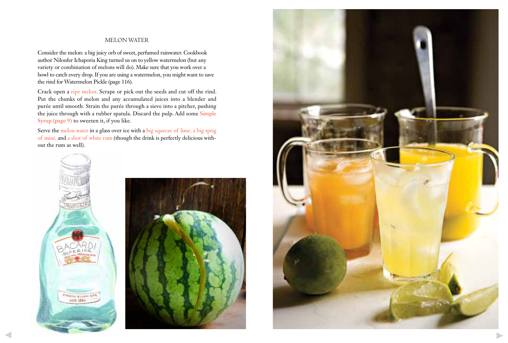### Melon Water

Consider the melon: a big juicy orb of sweet, perfumed rainwater. Cookbook author Niloufer Ichaporia King turned us on to yellow watermelon (but any variety or combination of melons will do). Make sure that you work over a bowl to catch every drop. If you are using a watermelon, you might want to save the rind for Watermelon Pickle (page 116).

Crack open a ripe melon. Scrape or pick out the seeds and cut off the rind. Put the chunks of melon and any accumulated juices into a blender and purée until smooth. Strain the purée through a sieve into a pitcher, pushing the juice through with a rubber spatula. Discard the pulp. Add some Simple Syrup (page 9) to sweeten it, if you like.

Serve the melon water in a glass over ice with a big squeeze of lime, a big sprig of mint, and a shot of white rum (though the drink is perfectly delicious without the rum as well).





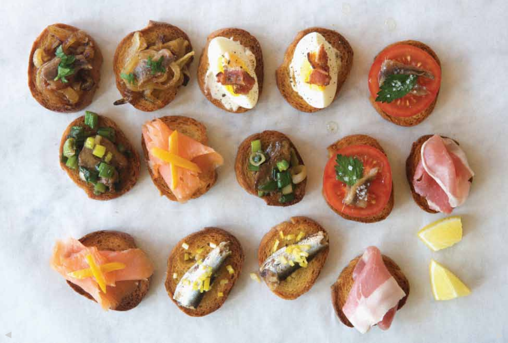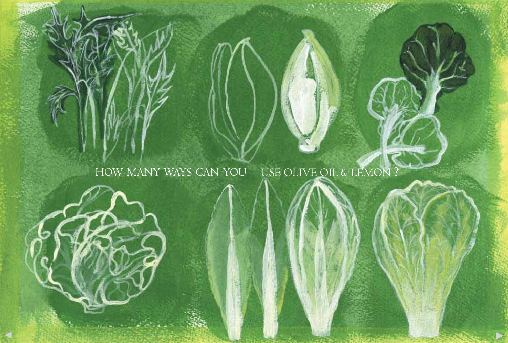## how many ways can you use olive oil *&* lemon ?

 $2.5 - 0.5 - 0.22 - 0.7$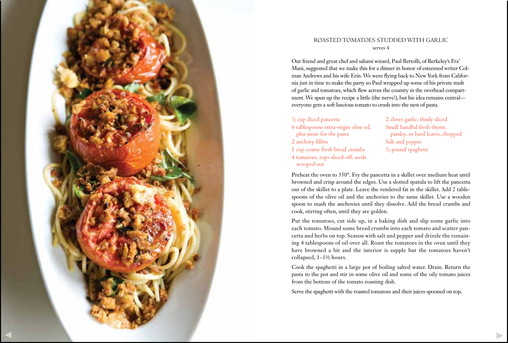

#### ROASTED TOMATOES STUDDED WITH GARLIC serves 4

Our friend and great chef and salumi wizard, Paul Bertolli, of Berkeley's Fra' Mani, suggested that we make this for a dinner in honor of esteemed writer Colman Andrews and his wife Erin. We were flying back to New York from California just in time to make the party so Paul wrapped up some of his private stash of garlic and tomatoes, which flew across the country in the overhead compartment. We spun up the recipe a little (the nerve!), but his idea remains central everyone gets a soft luscious tomato to crush into the nest of pasta.

½ cup diced pancetta 6 tablespoons extra-virgin olive oil, plus more for the pasta 2 anchovy fillets 1 cup coarse fresh bread crumbs 4 tomatoes, tops sliced off, seeds scooped out

2 cloves garlic, thinly sliced Small handful fresh thyme, parsley, or basil leaves, chopped Salt and pepper ½ pound spaghetti

Preheat the oven to 350°. Fry the pancetta in a skillet over medium heat until browned and crisp around the edges. Use a slotted spatula to lift the pancetta out of the skillet to a plate. Leave the rendered fat in the skillet. Add 2 tablespoons of the olive oil and the anchovies to the same skillet. Use a wooden spoon to mash the anchovies until they dissolve. Add the bread crumbs and cook, stirring often, until they are golden.

Put the tomatoes, cut side up, in a baking dish and slip some garlic into each tomato. Mound some bread crumbs into each tomato and scatter pancetta and herbs on top. Season with salt and pepper and drizzle the remaining 4 tablespoons of oil over all. Roast the tomatoes in the oven until they have browned a bit and the interior is supple but the tomatoes haven't collapsed, 1–1½ hours.

Cook the spaghetti in a large pot of boiling salted water. Drain. Return the pasta to the pot and stir in some olive oil and some of the oily tomato juices from the bottom of the tomato roasting dish.

Serve the spaghetti with the roasted tomatoes and their juices spooned on top.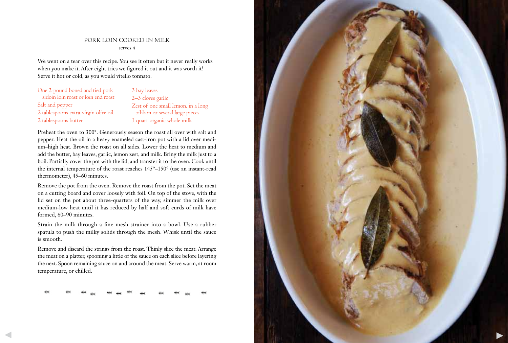### PORK LOIN COOKED IN MILK serves 4

We went on a tear over this recipe. You see it often but it never really works when you make it. After eight tries we figured it out and it was worth it! Serve it hot or cold, as you would vitello tonnato.

| One 2-pound boned and tied pork      |
|--------------------------------------|
| sirloin loin roast or loin end roast |
| Salt and pepper                      |
| 2 tablespoons extra-virgin olive oil |
| 2 tablespoons butter                 |

### 3 bay leaves 2–3 cloves garlic Zest of one small lemon, in a long ribbon or several large pieces 1 quart organic whole milk

Preheat the oven to 300°. Generously season the roast all over with salt and pepper. Heat the oil in a heavy enameled cast-iron pot with a lid over medium–high heat. Brown the roast on all sides. Lower the heat to medium and add the butter, bay leaves, garlic, lemon zest, and milk. Bring the milk just to a boil. Partially cover the pot with the lid, and transfer it to the oven. Cook until the internal temperature of the roast reaches 145°–150° (use an instant-read thermometer), 45–60 minutes.

Remove the pot from the oven. Remove the roast from the pot. Set the meat on a cutting board and cover loosely with foil. On top of the stove, with the lid set on the pot about three-quarters of the way, simmer the milk over medium-low heat until it has reduced by half and soft curds of milk have formed, 60–90 minutes.

Strain the milk through a fine mesh strainer into a bowl. Use a rubber spatula to push the milky solids through the mesh. Whisk until the sauce is smooth.

Remove and discard the strings from the roast. Thinly slice the meat. Arrange the meat on a platter, spooning a little of the sauce on each slice before layering the next. Spoon remaining sauce on and around the meat. Serve warm, at room temperature, or chilled.

|--|--|--|--|--|--|--|--|

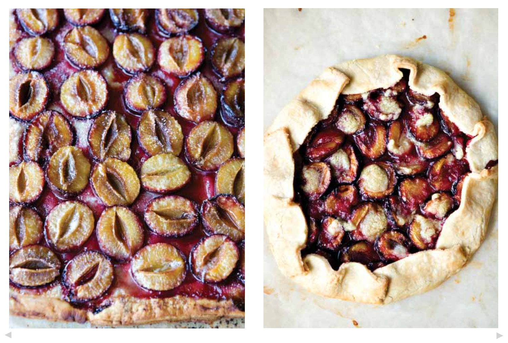

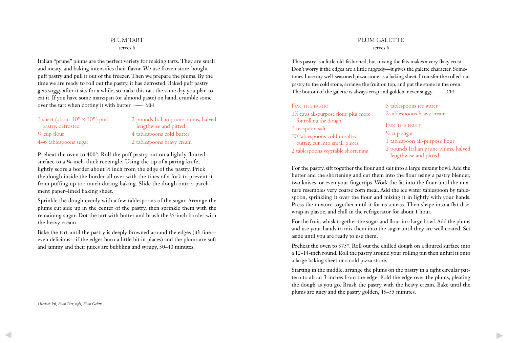### PLUM TART serves 6

Italian "prune" plums are the perfect variety for making tarts. They are small and meaty, and baking intensifies their flavor. We use frozen store-bought puff pastry and pull it out of the freezer. Then we prepare the plums. By the time we are ready to roll out the pastry, it has defrosted. Baked puff pastry gets soggy after it sits for a while, so make this tart the same day you plan to eat it. If you have some marzipan (or almond paste) on hand, crumble some over the tart when dotting it with butter.  $\longrightarrow$  MH

| I sheet (about $10" \times 10"$ ) puff | 2 pounds Italian prune plums, halved |
|----------------------------------------|--------------------------------------|
| pastry, defrosted                      | lengthwise and pitted                |
| $\frac{1}{4}$ cup flour                | 4 tablespoons cold butter            |
| 4–6 tablespoons sugar                  | 2 tablespoons heavy cream            |

Preheat the oven to 400°. Roll the puff pastry out on a lightly floured surface to a ¼-inch-thick rectangle. Using the tip of a paring knife, lightly score a border about ½ inch from the edge of the pastry. Prick the dough inside the border all over with the tines of a fork to prevent it from puffing up too much during baking. Slide the dough onto a parchment paper–lined baking sheet.

Sprinkle the dough evenly with a few tablespoons of the sugar. Arrange the plums cut side up in the center of the pastry, then sprinkle them with the remaining sugar. Dot the tart with butter and brush the ½-inch border with the heavy cream.

Bake the tart until the pastry is deeply browned around the edges (it's fine even delicious—if the edges burn a little bit in places) and the plums are soft and jammy and their juices are bubbling and syrupy, 30–40 minutes.

#### *Overleaf: left, Plum Tart; right, Plum Galette*

PLUM GALETTE serves 6

This pastry is a little old-fashioned, but mixing the fats makes a very flaky crust. Don't worry if the edges are a little raggedy—it gives the galette character. Sometimes I use my well-seasoned pizza stone as a baking sheet. I transfer the rolled-out pastry to the cold stone, arrange the fruit on top, and put the stone in the oven. The bottom of the galette is always crisp and golden, never soggy. - CH

FOR THE PASTRY 13 ⁄4 cups all-purpose flour, plus more for rolling the dough 1 teaspoon salt 10 tablespoons cold unsalted butter, cut into small pieces 2 tablespoons vegetable shortening

5 tablespoons ice water 2 tablespoons heavy cream FOR THE FRUIT  $\frac{1}{2}$  cup sugar 1 tablespoon all-purpose flour 2 pounds Italian prune plums, halved lengthwise and pitted

 $\blacktriangleright$ 

For the pastry, sift together the flour and salt into a large mixing bowl. Add the butter and the shortening and cut them into the flour using a pastry blender, two knives, or even your fingertips. Work the fat into the flour until the mixture resembles very coarse corn meal. Add the ice water tablespoon by tablespoon, sprinkling it over the flour and mixing it in lightly with your hands. Press the mixture together until it forms a mass. Then shape into a flat disc, wrap in plastic, and chill in the refrigerator for about 1 hour.

For the fruit, whisk together the sugar and flour in a large bowl. Add the plums and use your hands to mix them into the sugar until they are well coated. Set aside until you are ready to use them.

Preheat the oven to 375°. Roll out the chilled dough on a floured surface into a 12-14-inch round. Roll the pastry around your rolling pin then unfurl it onto a large baking sheet or a cold pizza stone.

Starting in the middle, arrange the plums on the pastry in a tight circular pattern to about 3 inches from the edge. Fold the edge over the plums, pleating the dough as you go. Brush the pastry with the heavy cream. Bake until the plums are juicy and the pastry golden, 45–55 minutes.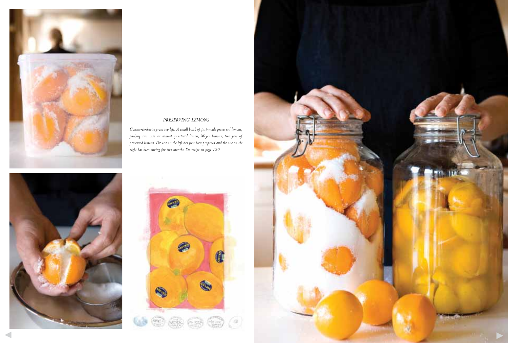





PRESERVING LEMONS Counterclockwise from top left: A small batch of just-made preserved lemons; packing salt into an almost quartered lemon; Meyer lemons; two jars of preserved lemons. The one on the left has just been prepared and the one on the

right has been curing for two months. See recipe on page 120.